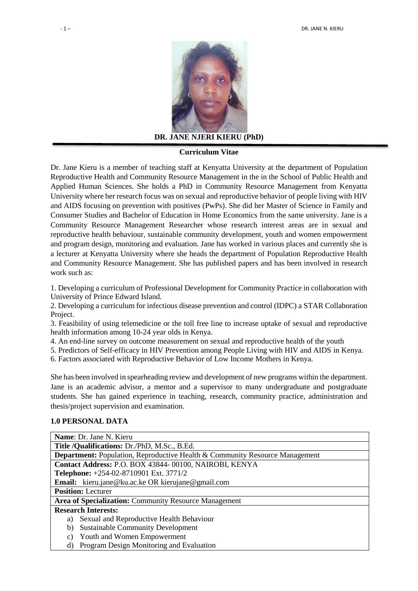

**DR. JANE NJERI KIERU (PhD)**

#### **Curriculum Vitae**

Dr. Jane Kieru is a member of teaching staff at Kenyatta University at the department of Population Reproductive Health and Community Resource Management in the in the School of Public Health and Applied Human Sciences. She holds a PhD in Community Resource Management from Kenyatta University where her research focus was on sexual and reproductive behavior of people living with HIV and AIDS focusing on prevention with positives (PwPs). She did her Master of Science in Family and Consumer Studies and Bachelor of Education in Home Economics from the same university. Jane is a Community Resource Management Researcher whose research interest areas are in sexual and reproductive health behaviour, sustainable community development, youth and women empowerment and program design, monitoring and evaluation. Jane has worked in various places and currently she is a lecturer at Kenyatta University where she heads the department of Population Reproductive Health and Community Resource Management. She has published papers and has been involved in research work such as:

1. Developing a curriculum of Professional Development for Community Practice in collaboration with University of Prince Edward Island.

2. Developing a curriculum for infectious disease prevention and control (IDPC) a STAR Collaboration Project.

3. Feasibility of using telemedicine or the toll free line to increase uptake of sexual and reproductive health information among 10-24 year olds in Kenya.

- 4. An end-line survey on outcome measurement on sexual and reproductive health of the youth
- 5. Predictors of Self-efficacy in HIV Prevention among People Living with HIV and AIDS in Kenya.
- 6. Factors associated with Reproductive Behavior of Low Income Mothers in Kenya.

She has been involved in spearheading review and development of new programs within the department. Jane is an academic advisor, a mentor and a supervisor to many undergraduate and postgraduate students. She has gained experience in teaching, research, community practice, administration and thesis/project supervision and examination.

#### **1.0 PERSONAL DATA**

| Name: Dr. Jane N. Kieru                                                            |  |  |  |  |
|------------------------------------------------------------------------------------|--|--|--|--|
| Title /Qualifications: Dr./PhD, M.Sc., B.Ed.                                       |  |  |  |  |
| <b>Department:</b> Population, Reproductive Health & Community Resource Management |  |  |  |  |
| Contact Address: P.O. BOX 43844-00100, NAIROBI, KENYA                              |  |  |  |  |
| <b>Telephone:</b> +254-02-8710901 Ext. 3771/2                                      |  |  |  |  |
| <b>Email:</b> kieru.jane@ku.ac.ke OR kierujane@gmail.com                           |  |  |  |  |
| <b>Position:</b> Lecturer                                                          |  |  |  |  |
| <b>Area of Specialization:</b> Community Resource Management                       |  |  |  |  |
| <b>Research Interests:</b>                                                         |  |  |  |  |
| Sexual and Reproductive Health Behaviour<br>a)                                     |  |  |  |  |
| <b>Sustainable Community Development</b><br>b)                                     |  |  |  |  |
| Youth and Women Empowerment<br>C)                                                  |  |  |  |  |
| Program Design Monitoring and Evaluation<br>d)                                     |  |  |  |  |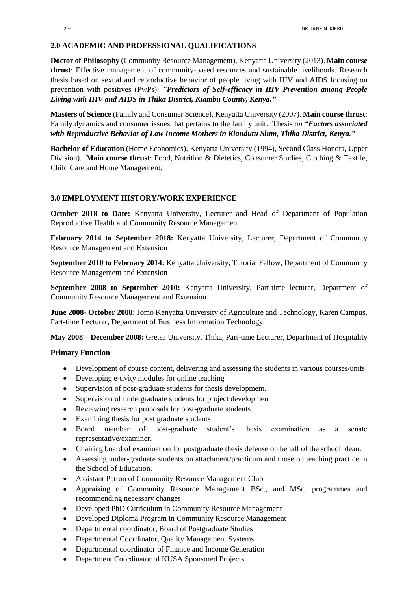## **2.0 ACADEMIC AND PROFESSIONAL QUALIFICATIONS**

**Doctor of Philosophy** (Community Resource Management), Kenyatta University (2013). **Main course thrust**: Effective management of community-based resources and sustainable livelihoods. Research thesis based on sexual and reproductive behavior of people living with HIV and AIDS focusing on prevention with positives (PwPs): *"Predictors of Self-efficacy in HIV Prevention among People Living with HIV and AIDS in Thika District, Kiambu County, Kenya."* 

**Masters of Science** (Family and Consumer Science), Kenyatta University (2007). **Main course thrust**: Family dynamics and consumer issues that pertains to the family unit. Thesis *on "Factors associated with Reproductive Behavior of Low Income Mothers in Kiandutu Slum, Thika District, Kenya."*

**Bachelor of Education** (Home Economics), Kenyatta University (1994), Second Class Honors, Upper Division). **Main course thrust**: Food, Nutrition & Dietetics, Consumer Studies, Clothing & Textile, Child Care and Home Management.

#### **3.0 EMPLOYMENT HISTORY/WORK EXPERIENCE**

**October 2018 to Date:** Kenyatta University, Lecturer and Head of Department of Population Reproductive Health and Community Resource Management

**February 2014 to September 2018:** Kenyatta University, Lecturer, Department of Community Resource Management and Extension

**September 2010 to February 2014:** Kenyatta University, Tutorial Fellow, Department of Community Resource Management and Extension

**September 2008 to September 2010:** Kenyatta University, Part-time lecturer, Department of Community Resource Management and Extension

**June 2008- October 2008:** Jomo Kenyatta University of Agriculture and Technology, Karen Campus, Part-time Lecturer, Department of Business Information Technology.

**May 2008 – December 2008:** Gretsa University, Thika, Part-time Lecturer, Department of Hospitality

#### **Primary Function**

- Development of course content, delivering and assessing the students in various courses/units
- Developing e-tivity modules for online teaching
- Supervision of post-graduate students for thesis development.
- Supervision of undergraduate students for project development
- Reviewing research proposals for post-graduate students.
- Examining thesis for post graduate students
- Board member of post-graduate student's thesis examination as a senate representative/examiner.
- Chairing board of examination for postgraduate thesis defense on behalf of the school dean.
- Assessing under-graduate students on attachment/practicum and those on teaching practice in the School of Education.
- Assistant Patron of Community Resource Management Club
- Appraising of Community Resource Management BSc., and MSc. programmes and recommending necessary changes
- Developed PhD Curriculum in Community Resource Management
- Developed Diploma Program in Community Resource Management
- Departmental coordinator, Board of Postgraduate Studies
- Departmental Coordinator, Quality Management Systems
- Departmental coordinator of Finance and Income Generation
- Department Coordinator of KUSA Sponsored Projects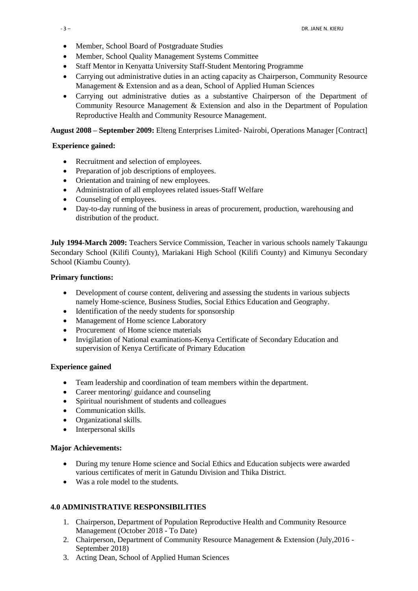- Member, School Board of Postgraduate Studies
- Member, School Quality Management Systems Committee
- Staff Mentor in Kenyatta University Staff-Student Mentoring Programme
- Carrying out administrative duties in an acting capacity as Chairperson, Community Resource Management & Extension and as a dean, School of Applied Human Sciences
- Carrying out administrative duties as a substantive Chairperson of the Department of Community Resource Management & Extension and also in the Department of Population Reproductive Health and Community Resource Management.

**August 2008 – September 2009:** Elteng Enterprises Limited- Nairobi, Operations Manager [Contract]

#### **Experience gained:**

- Recruitment and selection of employees.
- Preparation of job descriptions of employees.
- Orientation and training of new employees.
- Administration of all employees related issues-Staff Welfare
- Counseling of employees.
- Day-to-day running of the business in areas of procurement, production, warehousing and distribution of the product.

**July 1994-March 2009:** Teachers Service Commission, Teacher in various schools namely Takaungu Secondary School (Kilifi County), Mariakani High School (Kilifi County) and Kimunyu Secondary School (Kiambu County).

#### **Primary functions:**

- Development of course content, delivering and assessing the students in various subjects namely Home-science, Business Studies, Social Ethics Education and Geography.
- Identification of the needy students for sponsorship
- Management of Home science Laboratory
- Procurement of Home science materials
- Invigilation of National examinations-Kenya Certificate of Secondary Education and supervision of Kenya Certificate of Primary Education

#### **Experience gained**

- Team leadership and coordination of team members within the department.
- Career mentoring/ guidance and counseling
- Spiritual nourishment of students and colleagues
- Communication skills.
- Organizational skills.
- Interpersonal skills

#### **Major Achievements:**

- During my tenure Home science and Social Ethics and Education subjects were awarded various certificates of merit in Gatundu Division and Thika District.
- Was a role model to the students.

#### **4.0 ADMINISTRATIVE RESPONSIBILITIES**

- 1. Chairperson, Department of Population Reproductive Health and Community Resource Management (October 2018 - To Date)
- 2. Chairperson, Department of Community Resource Management & Extension (July,2016 September 2018)
- 3. Acting Dean, School of Applied Human Sciences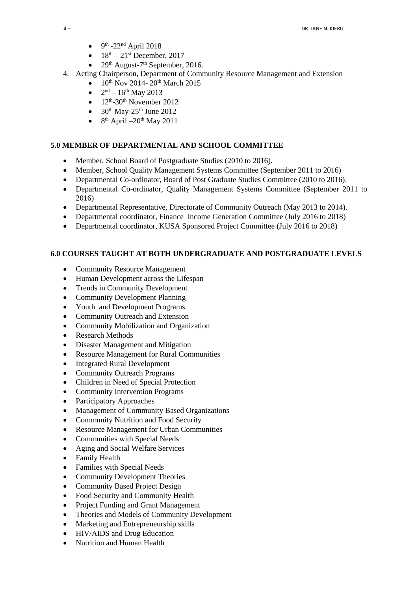- $\bullet$  9<sup>th</sup> -22<sup>nd</sup> April 2018
- $18<sup>th</sup> 21<sup>st</sup>$  December, 2017
- 29<sup>th</sup> August-7<sup>th</sup> September, 2016.
- 4. Acting Chairperson, Department of Community Resource Management and Extension
	- $10^{th}$  Nov 2014-  $20^{th}$  March 2015
	- $2<sup>nd</sup> 16<sup>th</sup>$  May 2013
	- $\bullet$  12<sup>th</sup>-30<sup>th</sup> November 2012
	- $\bullet$  30<sup>th</sup> May-25<sup>th</sup> June 2012
	- $\bullet$  8<sup>th</sup> April –20<sup>th</sup> May 2011

# **5.0 MEMBER OF DEPARTMENTAL AND SCHOOL COMMITTEE**

- Member, School Board of Postgraduate Studies (2010 to 2016).
- Member, School Quality Management Systems Committee (September 2011 to 2016)
- Departmental Co-ordinator, Board of Post Graduate Studies Committee (2010 to 2016).
- Departmental Co-ordinator, Quality Management Systems Committee (September 2011 to 2016)
- Departmental Representative, Directorate of Community Outreach (May 2013 to 2014).
- Departmental coordinator, Finance Income Generation Committee (July 2016 to 2018)
- Departmental coordinator, KUSA Sponsored Project Committee (July 2016 to 2018)

# **6.0 COURSES TAUGHT AT BOTH UNDERGRADUATE AND POSTGRADUATE LEVELS**

- Community Resource Management
- Human Development across the Lifespan
- Trends in Community Development
- Community Development Planning
- Youth and Development Programs
- Community Outreach and Extension
- Community Mobilization and Organization
- Research Methods
- Disaster Management and Mitigation
- Resource Management for Rural Communities
- Integrated Rural Development
- Community Outreach Programs
- Children in Need of Special Protection
- Community Intervention Programs
- Participatory Approaches
- Management of Community Based Organizations
- Community Nutrition and Food Security
- Resource Management for Urban Communities
- Communities with Special Needs
- Aging and Social Welfare Services
- Family Health
- Families with Special Needs
- Community Development Theories
- Community Based Project Design
- Food Security and Community Health
- Project Funding and Grant Management
- Theories and Models of Community Development
- Marketing and Entrepreneurship skills
- HIV/AIDS and Drug Education
- Nutrition and Human Health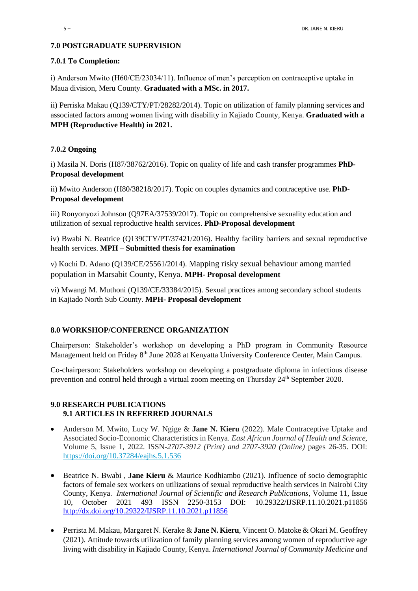## **7.0 POSTGRADUATE SUPERVISION**

#### **7.0.1 To Completion:**

i) Anderson Mwito (H60/CE/23034/11). Influence of men's perception on contraceptive uptake in Maua division, Meru County. **Graduated with a MSc. in 2017.**

ii) Perriska Makau (Q139/CTY/PT/28282/2014). Topic on utilization of family planning services and associated factors among women living with disability in Kajiado County, Kenya. **Graduated with a MPH (Reproductive Health) in 2021.** 

## **7.0.2 Ongoing**

i) Masila N. Doris (H87/38762/2016). Topic on quality of life and cash transfer programmes **PhD-Proposal development**

ii) Mwito Anderson (H80/38218/2017). Topic on couples dynamics and contraceptive use. **PhD-Proposal development**

iii) Ronyonyozi Johnson (Q97EA/37539/2017). Topic on comprehensive sexuality education and utilization of sexual reproductive health services. **PhD-Proposal development** 

iv) Bwabi N. Beatrice (Q139CTY/PT/37421/2016). Healthy facility barriers and sexual reproductive health services. **MPH – Submitted thesis for examination** 

v) Kochi D. Adano (Q139/CE/25561/2014). Mapping risky sexual behaviour among married population in Marsabit County, Kenya. **MPH- Proposal development**

vi) Mwangi M. Muthoni (Q139/CE/33384/2015). Sexual practices among secondary school students in Kajiado North Sub County. **MPH- Proposal development**

## **8.0 WORKSHOP/CONFERENCE ORGANIZATION**

Chairperson: Stakeholder's workshop on developing a PhD program in Community Resource Management held on Friday 8th June 2028 at Kenyatta University Conference Center, Main Campus.

Co-chairperson: Stakeholders workshop on developing a postgraduate diploma in infectious disease prevention and control held through a virtual zoom meeting on Thursday 24<sup>th</sup> September 2020.

## **9.0 RESEARCH PUBLICATIONS 9.1 ARTICLES IN REFERRED JOURNALS**

- Anderson M. Mwito, Lucy W. Ngige & **Jane N. Kieru** (2022). Male Contraceptive Uptake and Associated Socio-Economic Characteristics in Kenya. *East African Journal of Health and Science,*  Volume 5, Issue 1, 2022. ISSN-*2707-3912 (Print) and 2707-3920 (Online)* pages 26-35. DOI: <https://doi.org/10.37284/eajhs.5.1.536>
- Beatrice N. Bwabi , **Jane Kieru** & Maurice Kodhiambo (2021). Influence of socio demographic factors of female sex workers on utilizations of sexual reproductive health services in Nairobi City County, Kenya. *International Journal of Scientific and Research Publications*, Volume 11, Issue 10, October 2021 493 ISSN 2250-3153 DOI: 10.29322/IJSRP.11.10.2021.p11856 <http://dx.doi.org/10.29322/IJSRP.11.10.2021.p11856>
- Perrista M. Makau, Margaret N. Kerake & **Jane N. Kieru**, Vincent O. Matoke & Okari M. Geoffrey (2021). Attitude towards utilization of family planning services among women of reproductive age living with disability in Kajiado County, Kenya. *International Journal of Community Medicine and*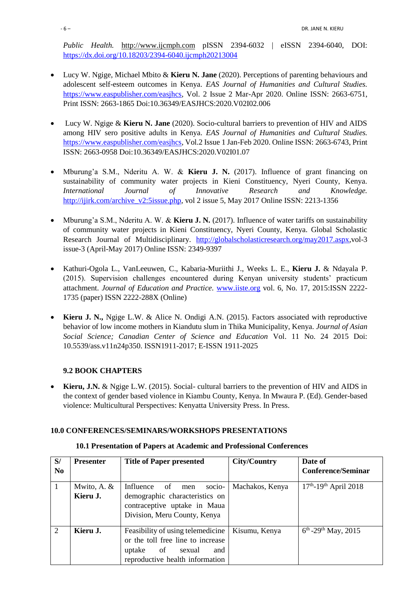*Public Health.* [http://www.ijcmph.com](http://www.ijcmph.com/) pISSN 2394-6032 | eISSN 2394-6040, DOI: <https://dx.doi.org/10.18203/2394-6040.ijcmph20213004>

- Lucy W. Ngige, Michael Mbito & **Kieru N. Jane** (2020). Perceptions of parenting behaviours and adolescent self-esteem outcomes in Kenya. *EAS Journal of Humanities and Cultural Studies.*  [https://www.easpublisher.com/easjhcs,](https://www.easpublisher.com/easjhcs) Vol. 2 Issue 2 Mar-Apr 2020. Online ISSN: 2663-6751, Print ISSN: 2663-1865 Doi:10.36349/EASJHCS:2020.V02I02.006
- Lucy W. Ngige & **Kieru N. Jane** (2020). Socio-cultural barriers to prevention of HIV and AIDS among HIV sero positive adults in Kenya. *EAS Journal of Humanities and Cultural Studies.*  [https://www.easpublisher.com/easjhcs,](https://www.easpublisher.com/easjhcs) Vol.2 Issue 1 Jan-Feb 2020. Online ISSN: 2663-6743, Print ISSN: 2663-0958 Doi:10.36349/EASJHCS:2020.V02I01.07
- Mburung'a S.M., Nderitu A. W. & **Kieru J. N.** (2017). Influence of grant financing on sustainability of community water projects in Kieni Constituency, Nyeri County, Kenya. *International Journal of Innovative Research and Knowledge.* [http://ijirk.com/archive\\_v2:5issue.php,](http://ijirk.com/archive_v2:5issue.php) vol 2 issue 5, May 2017 Online ISSN: 2213-1356
- Mburung'a S.M., Nderitu A. W. & **Kieru J. N.** (2017). Influence of water tariffs on sustainability of community water projects in Kieni Constituency, Nyeri County, Kenya. Global Scholastic Research Journal of Multidisciplinary. [http://globalscholasticresearch.org/may2017.aspx,](http://globalscholasticresearch.org/may2017.aspx)vol-3 issue-3 (April-May 2017) Online ISSN: 2349-9397
- Kathuri-Ogola L., VanLeeuwen, C., Kabaria-Muriithi J., Weeks L. E., **Kieru J.** & Ndayala P. (2015). Supervision challenges encountered during Kenyan university students' practicum attachment. *Journal of Education and Practice.* [www.iiste.org](http://www.iiste.org/) vol. 6, No. 17, 2015:ISSN 2222- 1735 (paper) ISSN 2222-288X (Online)
- **Kieru J. N.,** Ngige L.W. & Alice N. Ondigi A.N. (2015). Factors associated with reproductive behavior of low income mothers in Kiandutu slum in Thika Municipality, Kenya*. Journal of Asian Social Science; Canadian Center of Science and Education* Vol. 11 No. 24 2015 Doi: 10.5539/ass.v11n24p350. ISSN1911-2017; E-ISSN 1911-2025

# **9.2 BOOK CHAPTERS**

 **Kieru, J.N.** & Ngige L.W. (2015). Social- cultural barriers to the prevention of HIV and AIDS in the context of gender based violence in Kiambu County, Kenya. In Mwaura P. (Ed). Gender-based violence: Multicultural Perspectives: Kenyatta University Press. In Press.

## **10.0 CONFERENCES/SEMINARS/WORKSHOPS PRESENTATIONS**

## **10.1 Presentation of Papers at Academic and Professional Conferences**

| S/             | <b>Presenter</b>          | <b>Title of Paper presented</b>                                                                                                      | City/Country    | Date of                              |
|----------------|---------------------------|--------------------------------------------------------------------------------------------------------------------------------------|-----------------|--------------------------------------|
| N <sub>0</sub> |                           |                                                                                                                                      |                 | <b>Conference/Seminar</b>            |
| $\mathbf{1}$   | Mwito, A. $&$<br>Kieru J. | socio-<br>Influence of<br>men<br>demographic characteristics on<br>contraceptive uptake in Maua<br>Division, Meru County, Kenya      | Machakos, Kenya | $17th - 19th$ April 2018             |
| $\overline{2}$ | Kieru J.                  | Feasibility of using telemedicine<br>or the toll free line to increase<br>uptake of sexual<br>and<br>reproductive health information | Kisumu, Kenya   | $6^{th}$ -29 <sup>th</sup> May, 2015 |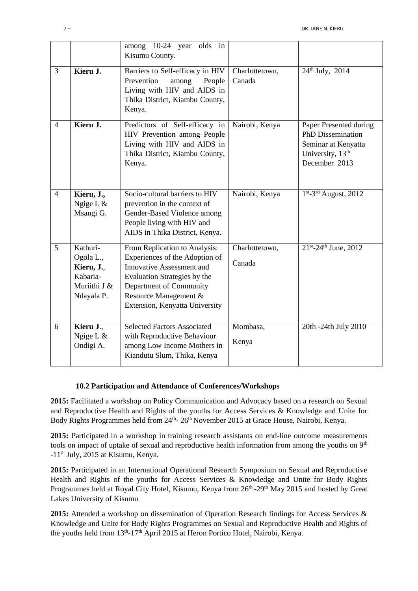|                |                                                                               | among 10-24 year olds in<br>Kisumu County.                                                                                                                                                                         |                          |                                                                                                                            |
|----------------|-------------------------------------------------------------------------------|--------------------------------------------------------------------------------------------------------------------------------------------------------------------------------------------------------------------|--------------------------|----------------------------------------------------------------------------------------------------------------------------|
| $\overline{3}$ | Kieru J.                                                                      | Barriers to Self-efficacy in HIV<br>Prevention<br>among<br>People<br>Living with HIV and AIDS in<br>Thika District, Kiambu County,<br>Kenya.                                                                       | Charlottetown,<br>Canada | $24^{th}$ July, $2014$                                                                                                     |
| $\overline{4}$ | Kieru J.                                                                      | Predictors of Self-efficacy in<br>HIV Prevention among People<br>Living with HIV and AIDS in<br>Thika District, Kiambu County,<br>Kenya.                                                                           | Nairobi, Kenya           | Paper Presented during<br><b>PhD Dissemination</b><br>Seminar at Kenyatta<br>University, 13 <sup>th</sup><br>December 2013 |
| $\overline{4}$ | Kieru, J.,<br>Ngige L $&$<br>Msangi G.                                        | Socio-cultural barriers to HIV<br>prevention in the context of<br>Gender-Based Violence among<br>People living with HIV and<br>AIDS in Thika District, Kenya.                                                      | Nairobi, Kenya           | $1st - 3rd$ August, 2012                                                                                                   |
| 5              | Kathuri-<br>Ogola L.,<br>Kieru, J.,<br>Kabaria-<br>Muriithi J &<br>Ndayala P. | From Replication to Analysis:<br>Experiences of the Adoption of<br>Innovative Assessment and<br>Evaluation Strategies by the<br>Department of Community<br>Resource Management &<br>Extension, Kenyatta University | Charlottetown,<br>Canada | $21^{st}$ -24 <sup>th</sup> June, 2012                                                                                     |
| 6              | Kieru J.,<br>Ngige L $&$<br>Ondigi A.                                         | <b>Selected Factors Associated</b><br>with Reproductive Behaviour<br>among Low Income Mothers in<br>Kiandutu Slum, Thika, Kenya                                                                                    | Mombasa,<br>Kenya        | 20th -24th July 2010                                                                                                       |

# **10.2 Participation and Attendance of Conferences/Workshops**

**2015:** Facilitated a workshop on Policy Communication and Advocacy based on a research on Sexual and Reproductive Health and Rights of the youths for Access Services & Knowledge and Unite for Body Rights Programmes held from 24<sup>th</sup>- 26<sup>th</sup> November 2015 at Grace House, Nairobi, Kenya.

**2015:** Participated in a workshop in training research assistants on end-line outcome measurements tools on impact of uptake of sexual and reproductive health information from among the youths on 9<sup>th</sup> -11th July, 2015 at Kisumu, Kenya.

**2015:** Participated in an International Operational Research Symposium on Sexual and Reproductive Health and Rights of the youths for Access Services & Knowledge and Unite for Body Rights Programmes held at Royal City Hotel, Kisumu, Kenya from 26<sup>th</sup> -29<sup>th</sup> May 2015 and hosted by Great Lakes University of Kisumu

**2015:** Attended a workshop on dissemination of Operation Research findings for Access Services & Knowledge and Unite for Body Rights Programmes on Sexual and Reproductive Health and Rights of the youths held from 13<sup>th</sup>-17<sup>th</sup> April 2015 at Heron Portico Hotel, Nairobi, Kenya.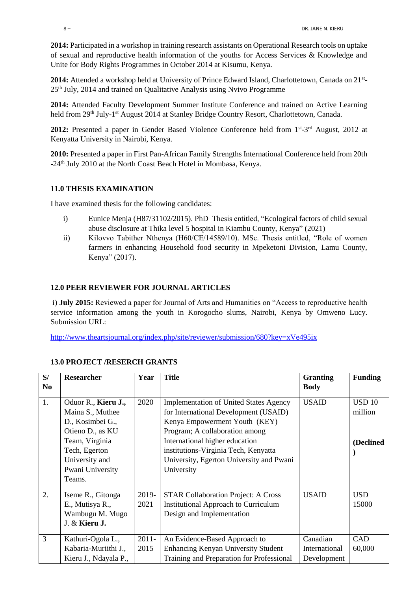**2014:** Participated in a workshop in training research assistants on Operational Research tools on uptake of sexual and reproductive health information of the youths for Access Services & Knowledge and Unite for Body Rights Programmes in October 2014 at Kisumu, Kenya.

2014: Attended a workshop held at University of Prince Edward Island, Charlottetown, Canada on 21<sup>st</sup>- $25<sup>th</sup>$  July, 2014 and trained on Qualitative Analysis using Nvivo Programme

**2014:** Attended Faculty Development Summer Institute Conference and trained on Active Learning held from 29<sup>th</sup> July-1<sup>st</sup> August 2014 at Stanley Bridge Country Resort, Charlottetown, Canada.

2012: Presented a paper in Gender Based Violence Conference held from 1<sup>st</sup>-3<sup>rd</sup> August, 2012 at Kenyatta University in Nairobi, Kenya.

**2010:** Presented a paper in First Pan-African Family Strengths International Conference held from 20th -24<sup>th</sup> July 2010 at the North Coast Beach Hotel in Mombasa, Kenya.

## **11.0 THESIS EXAMINATION**

I have examined thesis for the following candidates:

- i) Eunice Menja (H87/31102/2015). PhD Thesis entitled, "Ecological factors of child sexual abuse disclosure at Thika level 5 hospital in Kiambu County, Kenya" (2021)
- ii) Kilovvo Tabither Nthenya (H60/CE/14589/10). MSc. Thesis entitled, "Role of women farmers in enhancing Household food security in Mpeketoni Division, Lamu County, Kenya" (2017).

## **12.0 PEER REVIEWER FOR JOURNAL ARTICLES**

i) **July 2015:** Reviewed a paper for Journal of Arts and Humanities on "Access to reproductive health service information among the youth in Korogocho slums, Nairobi, Kenya by Omweno Lucy. Submission URL:

<http://www.theartsjournal.org/index.php/site/reviewer/submission/680?key=xVe495ix>

| S/             | <b>Researcher</b>                                                                                                                                                  | Year             | <b>Title</b>                                                                                                                                                                                                                                                                                  | <b>Granting</b>                          | <b>Funding</b>                        |
|----------------|--------------------------------------------------------------------------------------------------------------------------------------------------------------------|------------------|-----------------------------------------------------------------------------------------------------------------------------------------------------------------------------------------------------------------------------------------------------------------------------------------------|------------------------------------------|---------------------------------------|
| N <sub>0</sub> |                                                                                                                                                                    |                  |                                                                                                                                                                                                                                                                                               | <b>Body</b>                              |                                       |
| 1.             | Oduor R., Kieru J.,<br>Maina S., Muthee<br>D., Kosimbei G.,<br>Otieno D., as KU<br>Team, Virginia<br>Tech, Egerton<br>University and<br>Pwani University<br>Teams. | 2020             | <b>Implementation of United States Agency</b><br>for International Development (USAID)<br>Kenya Empowerment Youth (KEY)<br>Program; A collaboration among<br>International higher education<br>institutions-Virginia Tech, Kenyatta<br>University, Egerton University and Pwani<br>University | <b>USAID</b>                             | <b>USD 10</b><br>million<br>(Declined |
| 2.             | Iseme R., Gitonga<br>E., Mutisya R.,<br>Wambugu M. Mugo<br>J. & Kieru J.                                                                                           | 2019-<br>2021    | <b>STAR Collaboration Project: A Cross</b><br><b>Institutional Approach to Curriculum</b><br>Design and Implementation                                                                                                                                                                        | <b>USAID</b>                             | <b>USD</b><br>15000                   |
| 3              | Kathuri-Ogola L.,<br>Kabaria-Muriithi J.,<br>Kieru J., Ndayala P.,                                                                                                 | $2011 -$<br>2015 | An Evidence-Based Approach to<br><b>Enhancing Kenyan University Student</b><br>Training and Preparation for Professional                                                                                                                                                                      | Canadian<br>International<br>Development | CAD<br>60,000                         |

## **13.0 PROJECT /RESERCH GRANTS**